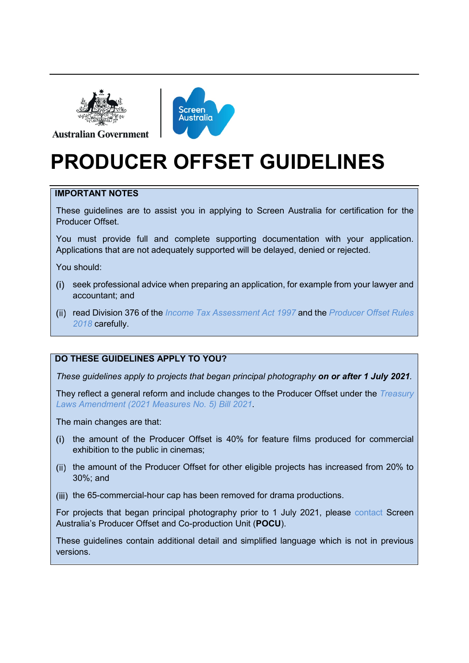

**Australian Government** 



# **PRODUCER OFFSET GUIDELINES**

### **IMPORTANT NOTES**

These guidelines are to assist you in applying to Screen Australia for certification for the Producer Offset.

You must provide full and complete supporting documentation with your application. Applications that are not adequately supported will be delayed, denied or rejected.

You should:

- seek professional advice when preparing an application, for example from your lawyer and accountant; and
- read Division 376 of the *[Income Tax Assessment Act 1997](https://www.legislation.gov.au/Details/C2022C00055/Html/Volume_7#_Toc94868448)* and the *[Producer Offset Rules](https://www.legislation.gov.au/Details/F2018L00112)  [2018](https://www.legislation.gov.au/Details/F2018L00112)* carefully.

### **DO THESE GUIDELINES APPLY TO YOU?**

*These guidelines apply to projects that began principal photography on or after 1 July 2021.* 

They reflect a general reform and include changes to the Producer Offset under the *[Treasury](https://parlinfo.aph.gov.au/parlInfo/download/legislation/bills/r6742_aspassed/toc_pdf/21082b01.pdf;fileType=application%2Fpdf)  [Laws Amendment \(2021 Measures No. 5\) Bill 2021](https://parlinfo.aph.gov.au/parlInfo/download/legislation/bills/r6742_aspassed/toc_pdf/21082b01.pdf;fileType=application%2Fpdf)*.

The main changes are that:

- the amount of the Producer Offset is 40% for feature films produced for commercial  $(i)$ exhibition to the public in cinemas;
- (ii) the amount of the Producer Offset for other eligible projects has increased from 20% to 30%; and
- (iii) the 65-commercial-hour cap has been removed for drama productions.

For projects that began principal photography prior to 1 July 2021, please [contact](#page-5-0) Screen Australia's Producer Offset and Co-production Unit (**POCU**).

These guidelines contain additional detail and simplified language which is not in previous versions.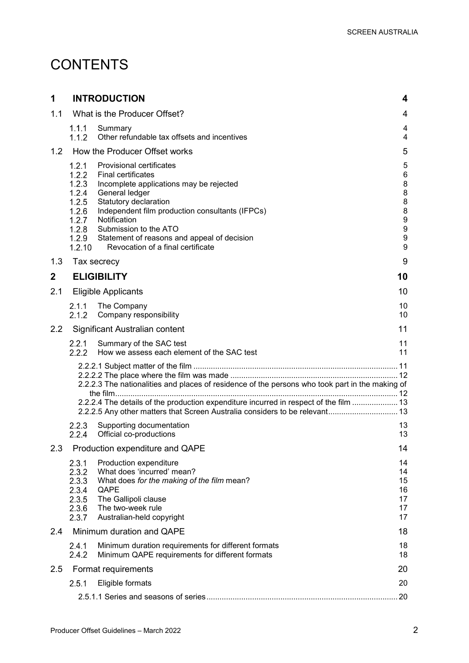## **CONTENTS**

| 1                                |                                                                                         | <b>INTRODUCTION</b>                                                                                                                                                                                                                                                                                                                | 4                                                             |
|----------------------------------|-----------------------------------------------------------------------------------------|------------------------------------------------------------------------------------------------------------------------------------------------------------------------------------------------------------------------------------------------------------------------------------------------------------------------------------|---------------------------------------------------------------|
| 1.1                              | What is the Producer Offset?                                                            |                                                                                                                                                                                                                                                                                                                                    |                                                               |
|                                  | 1.1.1<br>1.1.2                                                                          | Summary<br>Other refundable tax offsets and incentives                                                                                                                                                                                                                                                                             | 4<br>4                                                        |
| 1.2                              |                                                                                         | How the Producer Offset works                                                                                                                                                                                                                                                                                                      | 5                                                             |
|                                  | 1.2.1<br>1.2.2<br>1.2.3<br>1.2.4<br>1.2.5<br>1.2.6<br>1.2.7<br>1.2.8<br>1.2.9<br>1.2.10 | <b>Provisional certificates</b><br><b>Final certificates</b><br>Incomplete applications may be rejected<br>General ledger<br>Statutory declaration<br>Independent film production consultants (IFPCs)<br>Notification<br>Submission to the ATO<br>Statement of reasons and appeal of decision<br>Revocation of a final certificate | 5<br>6<br>8<br>8<br>8<br>8<br>9<br>9<br>$\boldsymbol{9}$<br>9 |
| 1.3                              |                                                                                         | Tax secrecy                                                                                                                                                                                                                                                                                                                        | 9                                                             |
| $\mathbf{2}$                     |                                                                                         | <b>ELIGIBILITY</b>                                                                                                                                                                                                                                                                                                                 | 10                                                            |
| 2.1                              |                                                                                         | <b>Eligible Applicants</b>                                                                                                                                                                                                                                                                                                         | 10                                                            |
|                                  | 2.1.1<br>2.1.2                                                                          | The Company<br>Company responsibility                                                                                                                                                                                                                                                                                              | 10<br>10                                                      |
| 2.2                              |                                                                                         | Significant Australian content                                                                                                                                                                                                                                                                                                     | 11                                                            |
|                                  | 2.2.1<br>2.2.2                                                                          | Summary of the SAC test<br>How we assess each element of the SAC test                                                                                                                                                                                                                                                              | 11<br>11                                                      |
|                                  |                                                                                         | 2.2.2.3 The nationalities and places of residence of the persons who took part in the making of<br>2.2.2.4 The details of the production expenditure incurred in respect of the film  13<br>2.2.2.5 Any other matters that Screen Australia considers to be relevant 13                                                            |                                                               |
|                                  | 2.2.3<br>2.2.4                                                                          | Supporting documentation<br>Official co-productions                                                                                                                                                                                                                                                                                | 13<br>13                                                      |
| 2.3                              |                                                                                         | Production expenditure and QAPE                                                                                                                                                                                                                                                                                                    | 14                                                            |
|                                  | 2.3.1<br>2.3.2<br>2.3.3<br>2.3.4<br>2.3.5<br>2.3.6<br>2.3.7                             | Production expenditure<br>What does 'incurred' mean?<br>What does for the making of the film mean?<br>QAPE<br>The Gallipoli clause<br>The two-week rule<br>Australian-held copyright                                                                                                                                               | 14<br>14<br>15<br>16<br>17<br>17<br>17                        |
| 2.4<br>Minimum duration and QAPE |                                                                                         |                                                                                                                                                                                                                                                                                                                                    | 18                                                            |
|                                  | 2.4.1<br>2.4.2                                                                          | Minimum duration requirements for different formats<br>Minimum QAPE requirements for different formats                                                                                                                                                                                                                             | 18<br>18                                                      |
| 2.5                              |                                                                                         | Format requirements                                                                                                                                                                                                                                                                                                                | 20                                                            |
|                                  | 2.5.1                                                                                   | Eligible formats                                                                                                                                                                                                                                                                                                                   | 20                                                            |
|                                  | .20                                                                                     |                                                                                                                                                                                                                                                                                                                                    |                                                               |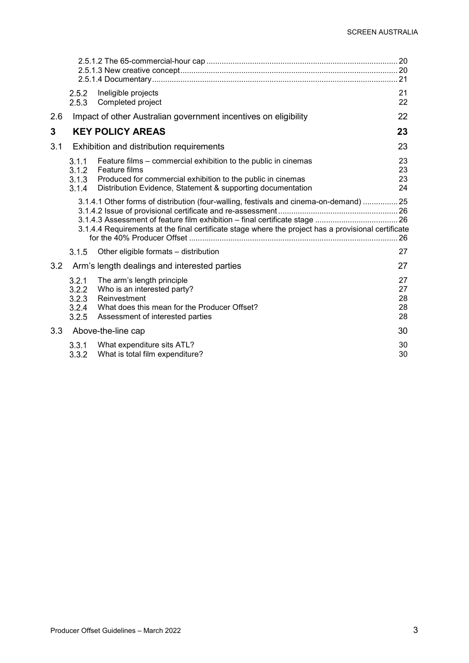|     | 2.5.2<br>2.5.3                                                                                                                                                                                | Ineligible projects<br>Completed project                                                                                                                                                                      | 21<br>22                   |
|-----|-----------------------------------------------------------------------------------------------------------------------------------------------------------------------------------------------|---------------------------------------------------------------------------------------------------------------------------------------------------------------------------------------------------------------|----------------------------|
| 2.6 |                                                                                                                                                                                               | Impact of other Australian government incentives on eligibility                                                                                                                                               | 22                         |
| 3   |                                                                                                                                                                                               | <b>KEY POLICY AREAS</b>                                                                                                                                                                                       | 23                         |
| 3.1 |                                                                                                                                                                                               | Exhibition and distribution requirements                                                                                                                                                                      | 23                         |
|     | 3.1.1<br>3.1.2<br>3.1.3<br>3.1.4                                                                                                                                                              | Feature films – commercial exhibition to the public in cinemas<br>Feature films<br>Produced for commercial exhibition to the public in cinemas<br>Distribution Evidence, Statement & supporting documentation | 23<br>23<br>23<br>24       |
|     | 3.1.4.1 Other forms of distribution (four-walling, festivals and cinema-on-demand)  25<br>3.1.4.4 Requirements at the final certificate stage where the project has a provisional certificate |                                                                                                                                                                                                               |                            |
|     | 3.1.5                                                                                                                                                                                         | Other eligible formats - distribution                                                                                                                                                                         | 27                         |
| 3.2 |                                                                                                                                                                                               | Arm's length dealings and interested parties                                                                                                                                                                  | 27                         |
|     | 3.2.1<br>3.2.2<br>3.2.3<br>3.2.4<br>3.2.5                                                                                                                                                     | The arm's length principle<br>Who is an interested party?<br>Reinvestment<br>What does this mean for the Producer Offset?<br>Assessment of interested parties                                                 | 27<br>27<br>28<br>28<br>28 |
| 3.3 |                                                                                                                                                                                               | Above-the-line cap                                                                                                                                                                                            | 30                         |
|     | 3.3.1<br>3.3.2                                                                                                                                                                                | What expenditure sits ATL?<br>What is total film expenditure?                                                                                                                                                 | 30<br>30                   |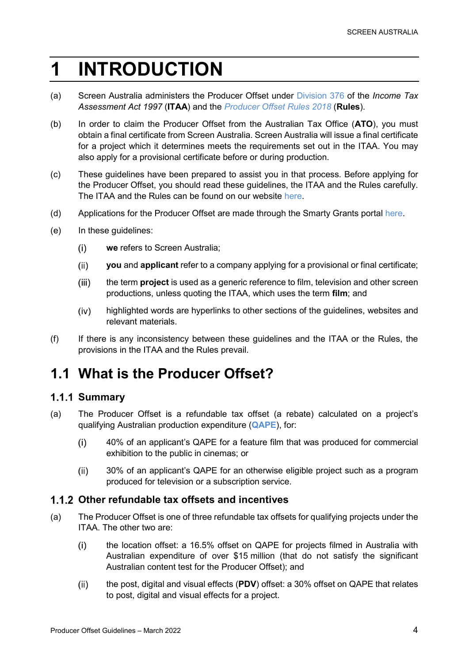# <span id="page-3-0"></span>**1 INTRODUCTION**

- (a) Screen Australia administers the Producer Offset under [Division 376](https://www.legislation.gov.au/Details/C2022C00055/Html/Volume_7#_Toc94868448) of the *Income Tax Assessment Act 1997* (**ITAA**) and the *[Producer Offset Rules 2018](https://www.legislation.gov.au/Details/F2018L00112)* (**Rules**).
- (b) In order to claim the Producer Offset from the Australian Tax Office (**ATO**), you must obtain a final certificate from Screen Australia. Screen Australia will issue a final certificate for a project which it determines meets the requirements set out in the ITAA. You may also apply for a provisional certificate before or during production.
- (c) These guidelines have been prepared to assist you in that process. Before applying for the Producer Offset, you should read these guidelines, the ITAA and the Rules carefully. The ITAA and the Rules can be found on our website [here.](https://www.screenaustralia.gov.au/funding-and-support/producer-offset/legislation-and-rules)
- (d) Applications for the Producer Offset are made through the Smarty Grants portal [here.](https://screenaustralia.smartygrants.com.au/)
- (e) In these guidelines:
	- $(i)$ **we** refers to Screen Australia;
	- $(ii)$ **you** and **applicant** refer to a company applying for a provisional or final certificate;
	- the term **project** is used as a generic reference to film, television and other screen  $(iii)$ productions, unless quoting the ITAA, which uses the term **film**; and
	- $(iv)$ highlighted words are hyperlinks to other sections of the guidelines, websites and relevant materials.
- (f) If there is any inconsistency between these guidelines and the ITAA or the Rules, the provisions in the ITAA and the Rules prevail.

## <span id="page-3-1"></span>**1.1 What is the Producer Offset?**

### <span id="page-3-2"></span>**1.1.1 Summary**

- (a) The Producer Offset is a refundable tax offset (a rebate) calculated on a project's qualifying Australian production expenditure (**[QAPE](#page-15-1)**), for:
	- $(i)$ 40% of an applicant's QAPE for a [feature film](#page-22-2) that was produced for commercial exhibition to the public in cinemas; or
	- 30% of an applicant's QAPE for an otherwise eligible project such as a program  $(ii)$ produced for television or a subscription service.

### <span id="page-3-3"></span>**Other refundable tax offsets and incentives**

- <span id="page-3-4"></span>(a) The Producer Offset is one of three refundable tax offsets for qualifying projects under the ITAA. The other two are:
	- $(i)$ the location offset: a 16.5% offset on QAPE for projects filmed in Australia with Australian expenditure of over \$15 million (that do not satisfy the significant Australian content test for the Producer Offset); and
	- the post, digital and visual effects (**PDV**) offset: a 30% offset on QAPE that relates  $(ii)$ to post, digital and visual effects for a project.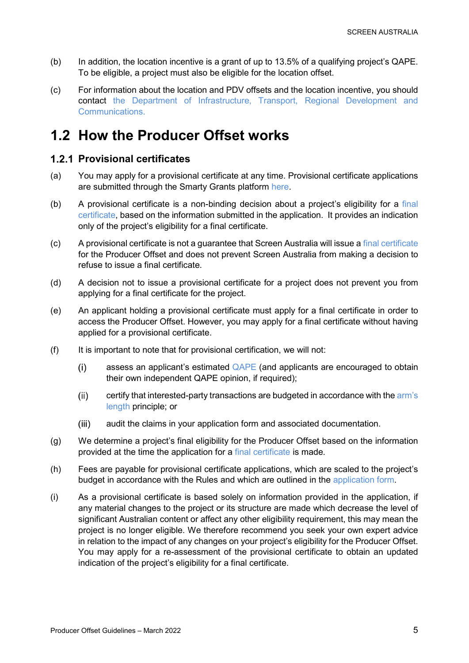- (b) In addition, the location incentive is a grant of up to 13.5% of a qualifying project's QAPE. To be eligible, a project must also be eligible for the location offset.
- (c) For information about the location and PDV offsets and the location incentive, you should contact [the Department of Infrastructure, Transport, Regional Development and](https://www.arts.gov.au/what-we-do/screen/australian-screen-production-incentive)  [Communications.](https://www.arts.gov.au/what-we-do/screen/australian-screen-production-incentive)

## <span id="page-4-0"></span>**1.2 How the Producer Offset works**

### <span id="page-4-1"></span>**Provisional certificates**

- (a) You may apply for a provisional certificate at any time. Provisional certificate applications are submitted through the Smarty Grants platform [here.](https://screenaustralia.smartygrants.com.au/)
- (b) A provisional certificate is a non-binding decision about a project's eligibility for a [final](#page-5-1)  [certificate,](#page-5-1) based on the information submitted in the application. It provides an indication only of the project's eligibility for a final certificate.
- (c) A provisional certificate is not a guarantee that Screen Australia will issue a [final certificate](#page-5-1) for the Producer Offset and does not prevent Screen Australia from making a decision to refuse to issue a final certificate.
- (d) A decision not to issue a provisional certificate for a project does not prevent you from applying for a final certificate for the project.
- (e) An applicant holding a provisional certificate must apply for a final certificate in order to access the Producer Offset. However, you may apply for a final certificate without having applied for a provisional certificate.
- (f) It is important to note that for provisional certification, we will not:
	- assess an applicant's estimated [QAPE](#page-15-1) (and applicants are encouraged to obtain  $(i)$ their own independent QAPE opinion, if required);
	- $(ii)$ certify that interested-party transactions are budgeted in accordance with the [arm's](#page-26-2)  [length](#page-26-2) principle; or
	- $(iii)$ audit the claims in your application form and associated documentation.
- (g) We determine a project's final eligibility for the Producer Offset based on the information provided at the time the application for a [final certificate](#page-5-1) is made.
- (h) Fees are payable for provisional certificate applications, which are scaled to the project's budget in accordance with the Rules and which are outlined in the [application form.](https://screenaustralia.smartygrants.com.au/)
- (i) As a provisional certificate is based solely on information provided in the application, if any material changes to the project or its structure are made which decrease the level of [significant Australian content](#page-10-0) or affect any other eligibility requirement, this may mean the project is no longer eligible. We therefore recommend you seek your own expert advice in relation to the impact of any changes on your project's eligibility for the Producer Offset. You may apply for a re-assessment of the provisional certificate to obtain an updated indication of the project's eligibility for a final certificate.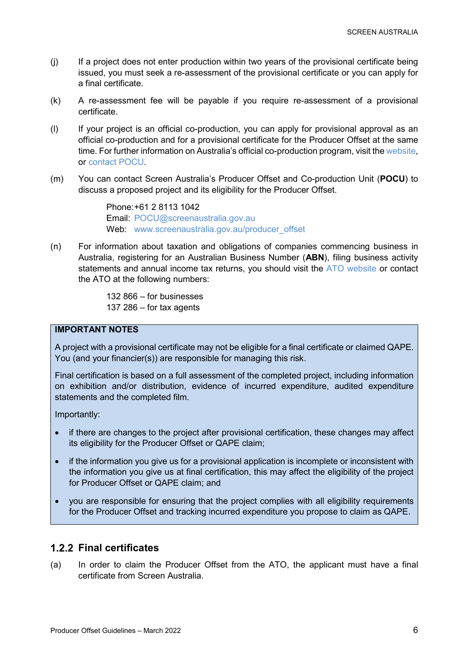- (j) If a project does not enter production within two years of the provisional certificate being issued, you must seek a re-assessment of the provisional certificate or you can apply for a final certificate.
- (k) A re-assessment fee will be payable if you require re-assessment of a provisional certificate.
- (l) If your project is an official co-production, you can apply for provisional approval as an official co-production and for a provisional certificate for the Producer Offset at the same time. For further information on Australia's official co-production program, visit th[e website,](http://www.screenaustralia.gov.au/coproductions) or [contact POCU.](#page-5-0)
- (m) You can contact Screen Australia's Producer Offset and Co-production Unit (**POCU**) to discuss a proposed project and its eligibility for the Producer Offset.

<span id="page-5-2"></span><span id="page-5-0"></span>Phone:+61 2 8113 1042 Email: [POCU@screenaustralia.gov.au](mailto:POCU@screenaustralia.gov.au) Web: [www.screenaustralia.gov.au/producer\\_offset](http://www.screenaustralia.gov.au/producer_offset)

(n) For information about taxation and obligations of companies commencing business in Australia, registering for an Australian Business Number (**ABN**), filing business activity statements and annual income tax returns, you should visit the [ATO website](http://www.ato.gov.au/) or contact the ATO at the following numbers:

> 132 866 – for businesses 137 286 – for tax agents

### **IMPORTANT NOTES**

A project with a provisional certificate may not be eligible for a final certificate or claimed QAPE. You (and your financier(s)) are responsible for managing this risk.

Final certification is based on a full assessment of the completed project, including information on exhibition and/or distribution, evidence of incurred expenditure, audited expenditure statements and the completed film.

Importantly:

- if there are changes to the project after provisional certification, these changes may affect its eligibility for the Producer Offset or QAPE claim;
- if the information you give us for a provisional application is incomplete or inconsistent with the information you give us at final certification, this may affect the eligibility of the project for Producer Offset or QAPE claim; and
- you are responsible for ensuring that the project complies with all eligibility requirements for the Producer Offset and tracking incurred expenditure you propose to claim as QAPE.

### <span id="page-5-1"></span>**Final certificates**

(a) In order to claim the Producer Offset from the ATO, the applicant must have a final certificate from Screen Australia.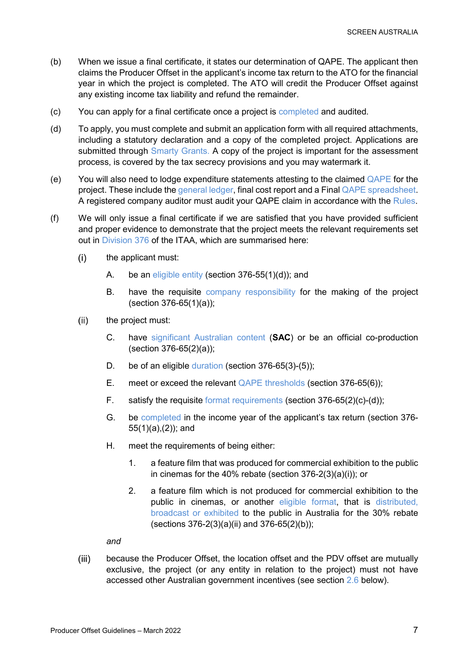- (b) When we issue a final certificate, it states our determination of QAPE. The applicant then claims the Producer Offset in the applicant's income tax return to the ATO for the financial year in which the project is completed. The ATO will credit the Producer Offset against any existing income tax liability and refund the remainder.
- (c) You can apply for a final certificate once a project is [completed](#page-21-0) and audited.
- (d) To apply, you must complete and submit an [application form](http://www.screenaustralia.gov.au/funding-and-support/producer-offset/document-library#ccforms) with all required attachments, including a statutory declaration and a copy of the completed project. Applications are submitted through [Smarty Grants.](https://screenaustralia.smartygrants.com.au./) A copy of the project is important for the assessment process, is covered by the tax secrecy provisions and you may watermark it.
- (e) You will also need to lodge expenditure statements attesting to the claimed  $Q_{\text{APE}}$  for the project. These include the [general ledger,](#page-7-4) final cost report and a Final [QAPE spreadsheet.](https://www.screenaustralia.gov.au/funding-and-support/producer-offset/document-library) A registered company auditor must audit your QAPE claim in accordance with the [Rules.](https://www.legislation.gov.au/Details/F2018L00112)
- (f) We will only issue a final certificate if we are satisfied that you have provided sufficient and proper evidence to demonstrate that the project meets the relevant requirements set out in [Division 376](https://www.legislation.gov.au/Details/C2022C00055/Html/Volume_7#_Toc94868448) of the ITAA, which are summarised here:
	- $(i)$ the applicant must:
		- A. be an [eligible entity](#page-9-1) (section 376-55(1)(d)); and
		- B. have the requisite [company responsibility](#page-9-3) for the making of the project (section 376-65(1)(a));
	- $(ii)$ the project must:
		- C. have significant [Australian content](#page-10-0) (**SAC**) or be an official co-production (section 376-65(2)(a));
		- D. be of an eligible [duration](#page-17-1) (section 376-65(3)-(5));
		- E. meet or exceed the relevant [QAPE thresholds](#page-17-2) (section 376-65(6));
		- F. satisfy the requisite [format requirements](#page-19-0) (section 376-65(2)(c)-(d));
		- G. be [completed](#page-21-0) in the income year of the applicant's tax return (section 376- 55(1)(a),(2)); and
		- H. meet the requirements of being either:
			- 1. a feature film that was produced for commercial exhibition to the public in cinemas for the 40% rebate (section 376-2(3)(a)(i)); or
			- 2. a feature film which is not produced for commercial exhibition to the public in cinemas, or another [eligible format,](#page-19-0) that is [distributed,](#page-26-4)  [broadcast or exhibited](#page-26-4) to the public in Australia for the 30% rebate (sections 376-2(3)(a)(ii) and 376-65(2)(b));

*and*

 $(iii)$ because the Producer Offset, the location offset and the PDV offset are mutually exclusive, the project (or any entity in relation to the project) must not have accessed other Australian government incentives (see section [2.6](#page-21-1) below).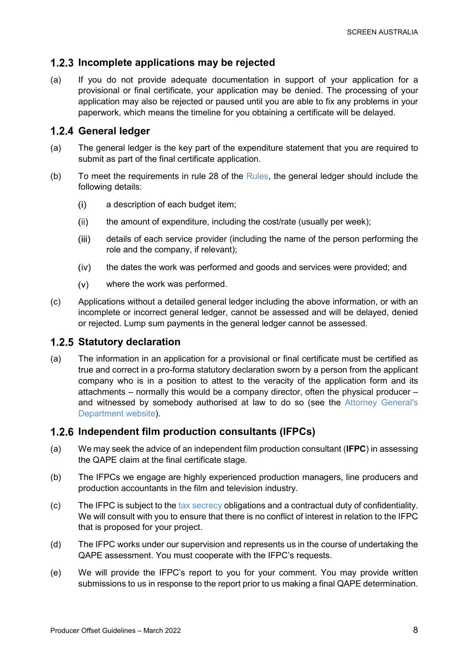### <span id="page-7-0"></span>**Incomplete applications may be rejected**

(a) If you do not provide adequate documentation in support of your application for a provisional or final certificate, your application may be denied. The processing of your application may also be rejected or paused until you are able to fix any problems in your paperwork, which means the timeline for you obtaining a certificate will be delayed.

### <span id="page-7-1"></span>**General ledger**

- <span id="page-7-4"></span>(a) The general ledger is the key part of the expenditure statement that you are required to submit as part of the final certificate application.
- (b) To meet the requirements in rule 28 of the  $Rules$ , the general ledger should include the following details:
	- a description of each budget item;  $(i)$
	- $(ii)$ the amount of expenditure, including the cost/rate (usually per week);
	- $(iii)$ details of each service provider (including the name of the person performing the role and the company, if relevant);
	- $(iv)$ the dates the work was performed and goods and services were provided; and
	- $(v)$ where the work was performed.
- (c) Applications without a detailed general ledger including the above information, or with an incomplete or incorrect general ledger, cannot be assessed and will be delayed, denied or rejected. Lump sum payments in the general ledger cannot be assessed.

### <span id="page-7-2"></span>**1.2.5 Statutory declaration**

(a) The information in an application for a provisional or final certificate must be certified as true and correct in a pro-forma statutory declaration sworn by a person from the applicant company who is in a position to attest to the veracity of the application form and its attachments – normally this would be a company director, often the physical producer – and witnessed by somebody authorised at law to do so (see the [Attorney General's](http://www.ag.gov.au/Publications/Pages/Statutorydeclarationsignatorylist.aspx)  [Department website\)](http://www.ag.gov.au/Publications/Pages/Statutorydeclarationsignatorylist.aspx).

### <span id="page-7-3"></span>**Independent film production consultants (IFPCs)**

- (a) We may seek the advice of an independent film production consultant (**IFPC**) in assessing the QAPE claim at the final certificate stage.
- (b) The IFPCs we engage are highly experienced production managers, line producers and production accountants in the film and television industry.
- (c) The IFPC is subject to th[e tax secrecy](#page-8-4) obligations and a contractual duty of confidentiality. We will consult with you to ensure that there is no conflict of interest in relation to the IFPC that is proposed for your project.
- (d) The IFPC works under our supervision and represents us in the course of undertaking the QAPE assessment. You must cooperate with the IFPC's requests.
- (e) We will provide the IFPC's report to you for your comment. You may provide written submissions to us in response to the report prior to us making a final QAPE determination.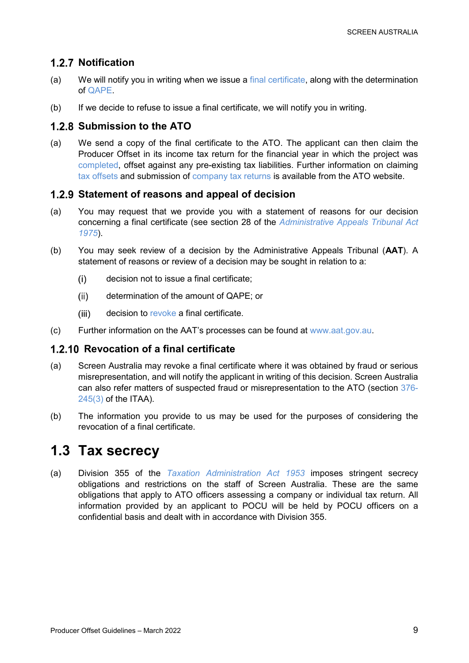### <span id="page-8-0"></span>**1.2.7 Notification**

- (a) We will notify you in writing when we issue a [final certificate,](#page-5-1) along with the determination of [QAPE.](#page-15-1)
- (b) If we decide to refuse to issue a final certificate, we will notify you in writing.

### <span id="page-8-1"></span>**Submission to the ATO**

(a) We send a copy of the final certificate to the ATO. The applicant can then claim the Producer Offset in its income tax return for the financial year in which the project was [completed,](#page-21-0) offset against any pre-existing tax liabilities. Further information on claiming [tax offsets](https://www.ato.gov.au/individuals/tax-return/2015/in-detail/publications/film-industry-incentives-2014-15/?page=6#Claiming_a_film_tax_offset) and submission of [company tax returns](https://www.ato.gov.au/Tax-professionals/Prepare-and-lodge/Tax-agent-lodgment-program/Tax-returns-by-client-type/Companies-and-super-funds/) is available from the ATO website.

### <span id="page-8-2"></span>**Statement of reasons and appeal of decision**

- (a) You may request that we provide you with a statement of reasons for our decision concerning a final certificate (see section 28 of the *[Administrative Appeals Tribunal Act](https://www.legislation.gov.au/Details/C2021C00338)  [1975](https://www.legislation.gov.au/Details/C2021C00338)*).
- (b) You may seek review of a decision by the Administrative Appeals Tribunal (**AAT**). A statement of reasons or review of a decision may be sought in relation to a:
	- $(i)$ decision not to issue a final certificate;
	- $(ii)$ determination of the amount of QAPE; or
	- $(iii)$ decision to [revoke](#page-8-3) a final certificate.
- (c) Further information on the AAT's processes can be found at [www.aat.gov.au.](http://www.aat.gov.au/)

### <span id="page-8-3"></span>**Revocation of a final certificate**

- (a) Screen Australia may revoke a final certificate where it was obtained by fraud or serious misrepresentation, and will notify the applicant in writing of this decision. Screen Australia can also refer matters of suspected fraud or misrepresentation to the ATO (section [376-](https://www.legislation.gov.au/Details/C2022C00055/Html/Volume_7#_Toc94868448) [245\(3\)](https://www.legislation.gov.au/Details/C2022C00055/Html/Volume_7#_Toc94868448) of the ITAA).
- (b) The information you provide to us may be used for the purposes of considering the revocation of a final certificate.

## <span id="page-8-4"></span>**1.3 Tax secrecy**

(a) Division 355 of the *[Taxation Administration Act 1953](https://www.legislation.gov.au/Details/C2022C00057/Html/Volume_2#_Toc95140259)* imposes stringent secrecy obligations and restrictions on the staff of Screen Australia. These are the same obligations that apply to ATO officers assessing a company or individual tax return. All information provided by an applicant to POCU will be held by POCU officers on a confidential basis and dealt with in accordance with Division 355.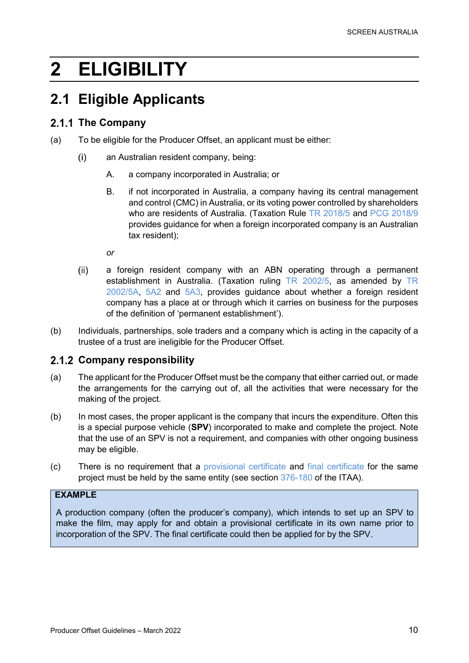# <span id="page-9-0"></span>**2 ELIGIBILITY**

## <span id="page-9-1"></span>**2.1 Eligible Applicants**

### <span id="page-9-2"></span>2.1.1 The Company

- (a) To be eligible for the Producer Offset, an applicant must be either:
	- an Australian resident company, being:  $(i)$ 
		- A. a company incorporated in Australia; or
		- B. if not incorporated in Australia, a company having its central management and control (CMC) in Australia, or its voting power controlled by shareholders who are residents of Australia. (Taxation Rule [TR 2018/5](https://www.ato.gov.au/law/view/document?docid=TXR/TR20185/NAT/ATO/00001) and [PCG 2018/9](https://www.ato.gov.au/law/view/document?DocID=COG/PCG20189/NAT/ATO/00001) provides guidance for when a foreign incorporated company is an Australian tax resident);

*or*

- $(ii)$ a foreign resident company with an ABN operating through a permanent establishment in Australia. (Taxation ruling [TR 2002/5,](https://www.ato.gov.au/law/view/document?DocID=TXR/TR20025/NAT/ATO/00001#LawTimeLine) as amended by [TR](https://www.ato.gov.au/law/view/document?docid=TXR/TR20025A1/NAT/ATO/00001&PiT=20120404000001)  [2002/5A,](https://www.ato.gov.au/law/view/document?docid=TXR/TR20025A1/NAT/ATO/00001&PiT=20120404000001) [5A2](https://www.ato.gov.au/law/view/document?docid=TXR/TR20025A2/NAT/ATO/00001&PiT=20161207000001) and [5A3,](https://www.ato.gov.au/law/view/document?docid=TXR/TR20025A3/NAT/ATO/00001&PiT=20210512000001) provides guidance about whether a foreign resident company has a place at or through which it carries on business for the purposes of the definition of 'permanent establishment').
- (b) Individuals, partnerships, sole traders and a company which is acting in the capacity of a trustee of a trust are ineligible for the Producer Offset.

### <span id="page-9-3"></span>2.1.2 Company responsibility

- (a) The applicant for the Producer Offset must be the company that either carried out, or made the arrangements for the carrying out of, all the activities that were necessary for the making of the project.
- (b) In most cases, the proper applicant is the company that incurs the expenditure. Often this is a special purpose vehicle (**SPV**) incorporated to make and complete the project. Note that the use of an SPV is not a requirement, and companies with other ongoing business may be eligible.
- (c) There is no requirement that a [provisional certificate](#page-4-1) and [final certificate](#page-5-1) for the same project must be held by the same entity (see section [376-180](https://www.legislation.gov.au/Details/C2022C00055/Html/Volume_7#_Toc94868489) of the ITAA).

### **EXAMPLE**

A production company (often the producer's company), which intends to set up an SPV to make the film, may apply for and obtain a provisional certificate in its own name prior to incorporation of the SPV. The final certificate could then be applied for by the SPV.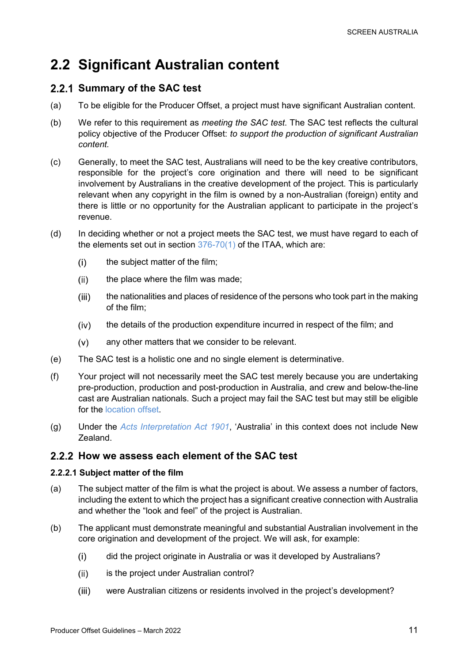## <span id="page-10-0"></span>**2.2 Significant Australian content**

### <span id="page-10-1"></span>**2.2.1 Summary of the SAC test**

- (a) To be eligible for the Producer Offset, a project must have significant Australian content.
- (b) We refer to this requirement as *meeting the SAC test*. The SAC test reflects the cultural policy objective of the Producer Offset: *to support the production of significant Australian content.*
- (c) Generally, to meet the SAC test, Australians will need to be the key creative contributors, responsible for the project's core origination and there will need to be significant involvement by Australians in the creative development of the project. This is particularly relevant when any copyright in the film is owned by a non-Australian (foreign) entity and there is little or no opportunity for the Australian applicant to participate in the project's revenue.
- (d) In deciding whether or not a project meets the SAC test, we must have regard to each of the elements set out in section  $376-70(1)$  of the ITAA, which are:
	- $(i)$ the subject matter of the film;
	- $(ii)$ the place where the film was made;
	- $(iii)$ the nationalities and places of residence of the persons who took part in the making of the film;
	- the details of the production expenditure incurred in respect of the film; and  $(iv)$
	- $(v)$ any other matters that we consider to be relevant.
- (e) The SAC test is a holistic one and no single element is determinative.
- (f) Your project will not necessarily meet the SAC test merely because you are undertaking pre-production, production and post-production in Australia, and crew and below-the-line cast are Australian nationals. Such a project may fail the SAC test but may still be eligible for the [location offset.](#page-3-4)
- (g) Under the *[Acts Interpretation Act 1901](https://www.legislation.gov.au/Details/C2019C00028)*, 'Australia' in this context does not include New Zealand.

### <span id="page-10-2"></span>**How we assess each element of the SAC test**

### <span id="page-10-3"></span>**2.2.2.1 Subject matter of the film**

- (a) The subject matter of the film is what the project is about. We assess a number of factors, including the extent to which the project has a significant creative connection with Australia and whether the "look and feel" of the project is Australian.
- (b) The applicant must demonstrate meaningful and substantial Australian involvement in the core origination and development of the project. We will ask, for example:
	- $(i)$ did the project originate in Australia or was it developed by Australians?
	- $(ii)$ is the project under Australian control?
	- $(iii)$ were Australian citizens or residents involved in the project's development?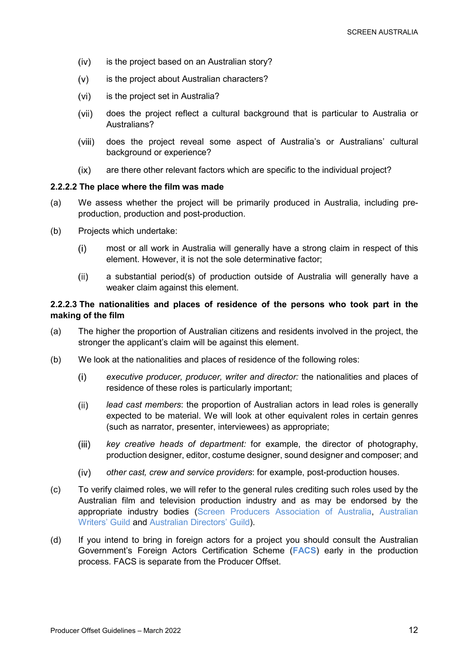- $(iv)$ is the project based on an Australian story?
- $(v)$ is the project about Australian characters?
- $(vi)$ is the project set in Australia?
- does the project reflect a cultural background that is particular to Australia or  $(vii)$ Australians?
- $(viii)$ does the project reveal some aspect of Australia's or Australians' cultural background or experience?
- $(ix)$ are there other relevant factors which are specific to the individual project?

### <span id="page-11-0"></span>**2.2.2.2 The place where the film was made**

- (a) We assess whether the project will be primarily produced in Australia, including preproduction, production and post-production.
- (b) Projects which undertake:
	- $(i)$ most or all work in Australia will generally have a strong claim in respect of this element. However, it is not the sole determinative factor;
	- a substantial period(s) of production outside of Australia will generally have a  $(ii)$ weaker claim against this element.

### <span id="page-11-1"></span>**2.2.2.3 The nationalities and places of residence of the persons who took part in the making of the film**

- (a) The higher the proportion of Australian citizens and residents involved in the project, the stronger the applicant's claim will be against this element.
- (b) We look at the nationalities and places of residence of the following roles:
	- $(i)$ *executive producer, producer, writer and director:* the nationalities and places of residence of these roles is particularly important;
	- $(ii)$ *lead cast members*: the proportion of Australian actors in lead roles is generally expected to be material. We will look at other equivalent roles in certain genres (such as narrator, presenter, interviewees) as appropriate;
	- $(iii)$ *key creative heads of department:* for example, the director of photography, production designer, editor, costume designer, sound designer and composer; and
	- *other cast, crew and service providers*: for example, post-production houses.  $(iv)$
- (c) To verify claimed roles, we will refer to the general rules crediting such roles used by the Australian film and television production industry and as may be endorsed by the appropriate industry bodies [\(Screen Producers Association of Australia,](https://www.screenproducers.org.au/) [Australian](https://www.awg.com.au/)  [Writers' Guild](https://www.awg.com.au/) and [Australian Directors'](https://www.adg.org.au/) Guild).
- (d) If you intend to bring in foreign actors for a project you should consult the Australian Government's Foreign Actors Certification Scheme (**[FACS](https://www.arts.gov.au/publications/guidelines-entry-australia-foreign-actors-purpose-employment-film-and-television-productions)**) early in the production process. FACS is separate from the Producer Offset.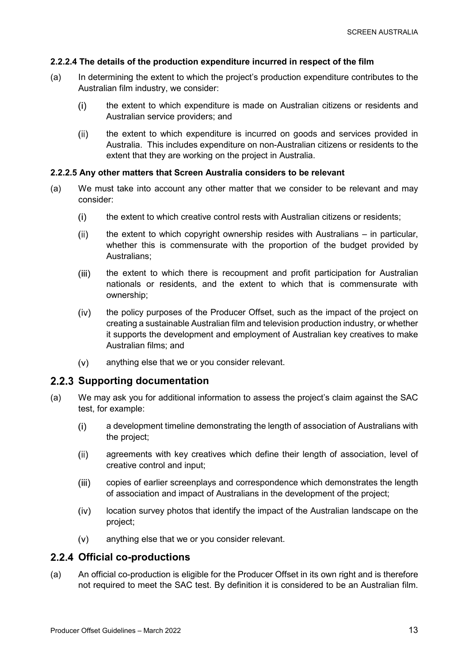### <span id="page-12-0"></span>**2.2.2.4 The details of the production expenditure incurred in respect of the film**

- (a) In determining the extent to which the project's production expenditure contributes to the Australian film industry, we consider:
	- $(i)$ the extent to which expenditure is made on Australian citizens or residents and Australian service providers; and
	- $(ii)$ the extent to which expenditure is incurred on goods and services provided in Australia. This includes expenditure on non-Australian citizens or residents to the extent that they are working on the project in Australia.

### <span id="page-12-1"></span>**2.2.2.5 Any other matters that Screen Australia considers to be relevant**

- (a) We must take into account any other matter that we consider to be relevant and may consider:
	- the extent to which creative control rests with Australian citizens or residents;  $(i)$
	- $(ii)$ the extent to which copyright ownership resides with Australians – in particular, whether this is commensurate with the proportion of the budget provided by Australians;
	- $(iii)$ the extent to which there is recoupment and profit participation for Australian nationals or residents, and the extent to which that is commensurate with ownership;
	- $(iv)$ the policy purposes of the Producer Offset, such as the impact of the project on creating a sustainable Australian film and television production industry, or whether it supports the development and employment of Australian key creatives to make Australian films; and
	- $(v)$ anything else that we or you consider relevant.

### <span id="page-12-2"></span>**2.2.3 Supporting documentation**

- (a) We may ask you for additional information to assess the project's claim against the SAC test, for example:
	- $(i)$ a development timeline demonstrating the length of association of Australians with the project;
	- $(ii)$ agreements with key creatives which define their length of association, level of creative control and input;
	- copies of earlier screenplays and correspondence which demonstrates the length  $(iii)$ of association and impact of Australians in the development of the project;
	- $(iv)$ location survey photos that identify the impact of the Australian landscape on the project;
	- $(v)$ anything else that we or you consider relevant.

### <span id="page-12-3"></span>**Official co-productions**

(a) An official co-production is eligible for the Producer Offset in its own right and is therefore not required to meet the SAC test. By definition it is considered to be an Australian film.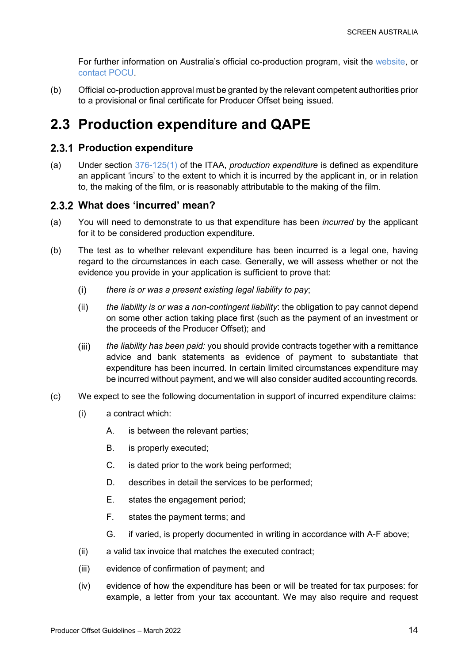For further information on Australia's official co-production program, visit the [website,](http://www.screenaustralia.gov.au/coproductions) or [contact POCU.](#page-5-0)

(b) Official co-production approval must be granted by the relevant competent authorities prior to a provisional or final certificate for Producer Offset being issued.

## <span id="page-13-0"></span>**2.3 Production expenditure and QAPE**

### <span id="page-13-1"></span>**2.3.1 Production expenditure**

<span id="page-13-3"></span>(a) Under section [376-125\(1\)](https://www.legislation.gov.au/Details/C2022C00055/Html/Volume_7#_Toc94868489) of the ITAA, *production expenditure* is defined as expenditure an applicant 'incurs' to the extent to which it is incurred by the applicant in, or in relation to, the making of the film, or is reasonably attributable to the making of the film.

### <span id="page-13-2"></span>**What does 'incurred' mean?**

- (a) You will need to demonstrate to us that expenditure has been *incurred* by the applicant for it to be considered production expenditure.
- (b) The test as to whether relevant expenditure has been incurred is a legal one, having regard to the circumstances in each case. Generally, we will assess whether or not the evidence you provide in your application is sufficient to prove that:
	- $(i)$ *there is or was a present existing legal liability to pay*;
	- $(ii)$ *the liability is or was a non-contingent liability*: the obligation to pay cannot depend on some other action taking place first (such as the payment of an investment or the proceeds of the Producer Offset); and
	- $(iii)$ *the liability has been paid:* you should provide contracts together with a remittance advice and bank statements as evidence of payment to substantiate that expenditure has been incurred. In certain limited circumstances expenditure may be incurred without payment, and we will also consider audited accounting records.
- (c) We expect to see the following documentation in support of incurred expenditure claims:
	- (i) a contract which:
		- A. is between the relevant parties;
		- B. is properly executed;
		- C. is dated prior to the work being performed;
		- D. describes in detail the services to be performed;
		- E. states the engagement period;
		- F. states the payment terms; and
		- G. if varied, is properly documented in writing in accordance with A-F above;
	- (ii) a valid tax invoice that matches the executed contract;
	- (iii) evidence of confirmation of payment; and
	- (iv) evidence of how the expenditure has been or will be treated for tax purposes: for example, a letter from your tax accountant. We may also require and request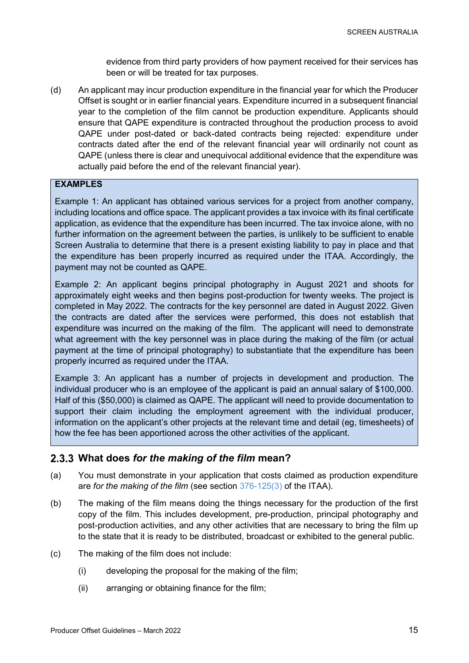evidence from third party providers of how payment received for their services has been or will be treated for tax purposes.

(d) An applicant may incur production expenditure in the financial year for which the Producer Offset is sought or in earlier financial years. Expenditure incurred in a subsequent financial year to the completion of the film cannot be production expenditure. Applicants should ensure that QAPE expenditure is contracted throughout the production process to avoid QAPE under post-dated or back-dated contracts being rejected: expenditure under contracts dated after the end of the relevant financial year will ordinarily not count as QAPE (unless there is clear and unequivocal additional evidence that the expenditure was actually paid before the end of the relevant financial year).

### **EXAMPLES**

Example 1: An applicant has obtained various services for a project from another company, including locations and office space. The applicant provides a tax invoice with its final certificate application, as evidence that the expenditure has been incurred. The tax invoice alone, with no further information on the agreement between the parties, is unlikely to be sufficient to enable Screen Australia to determine that there is a present existing liability to pay in place and that the expenditure has been properly incurred as required under the ITAA. Accordingly, the payment may not be counted as QAPE.

Example 2: An applicant begins principal photography in August 2021 and shoots for approximately eight weeks and then begins post-production for twenty weeks. The project is completed in May 2022. The contracts for the key personnel are dated in August 2022. Given the contracts are dated after the services were performed, this does not establish that expenditure was incurred on the making of the film. The applicant will need to demonstrate what agreement with the key personnel was in place during the making of the film (or actual payment at the time of principal photography) to substantiate that the expenditure has been properly incurred as required under the ITAA.

Example 3: An applicant has a number of projects in development and production. The individual producer who is an employee of the applicant is paid an annual salary of \$100,000. Half of this (\$50,000) is claimed as QAPE. The applicant will need to provide documentation to support their claim including the employment agreement with the individual producer, information on the applicant's other projects at the relevant time and detail (eg, timesheets) of how the fee has been apportioned across the other activities of the applicant.

### <span id="page-14-0"></span>**What does** *for the making of the film* **mean?**

- (a) You must demonstrate in your application that costs claimed as production expenditure are *for the making of the film* (see section [376-125\(3\)](https://www.legislation.gov.au/Details/C2022C00055/Html/Volume_7#_Toc94868489) of the ITAA).
- (b) The making of the film means doing the things necessary for the production of the first copy of the film. This includes development, pre-production, principal photography and post-production activities, and any other activities that are necessary to bring the film up to the state that it is ready to be distributed, broadcast or exhibited to the general public.
- (c) The making of the film does not include:
	- (i) developing the proposal for the making of the film;
	- (ii) arranging or obtaining finance for the film;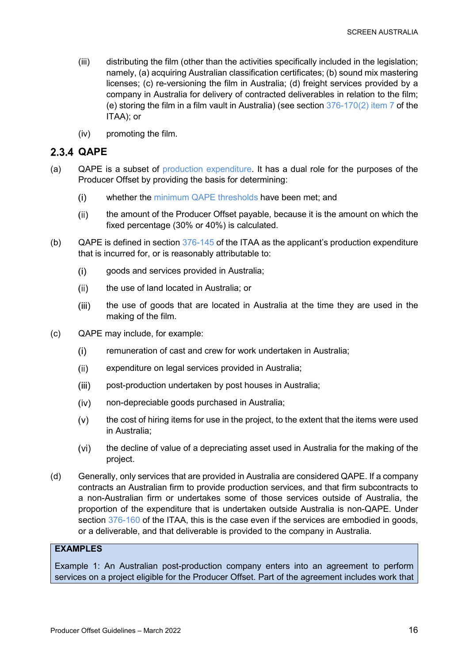- (iii) distributing the film (other than the activities specifically included in the legislation; namely, (a) acquiring Australian classification certificates; (b) sound mix mastering licenses; (c) re-versioning the film in Australia; (d) freight services provided by a company in Australia for delivery of contracted deliverables in relation to the film; (e) storing the film in a film vault in Australia) (see section [376-170\(2\) item 7](https://www.legislation.gov.au/Details/C2022C00055/Html/Volume_7#_Toc94868489) of the ITAA); or
- (iv) promoting the film.

### <span id="page-15-0"></span>**QAPE**

- <span id="page-15-1"></span>(a) QAPE is a subset of [production expenditure.](#page-13-3) It has a dual role for the purposes of the Producer Offset by providing the basis for determining:
	- $(i)$ whether the [minimum QAPE thresholds](#page-17-2) have been met; and
	- the amount of the Producer Offset payable, because it is the amount on which the  $(ii)$ fixed percentage (30% or 40%) is calculated.
- (b) QAPE is defined in section [376-145](https://www.legislation.gov.au/Details/C2022C00055/Html/Volume_7#_Toc94868489) of the ITAA as the applicant's production expenditure that is incurred for, or is reasonably attributable to:
	- $(i)$ goods and services provided in Australia;
	- $(ii)$ the use of land located in Australia; or
	- the use of goods that are located in Australia at the time they are used in the  $(iii)$ making of the film.
- (c) QAPE may include, for example:
	- remuneration of cast and crew for work undertaken in Australia;  $(i)$
	- $(ii)$ expenditure on legal services provided in Australia;
	- $(iii)$ post-production undertaken by post houses in Australia;
	- non-depreciable goods purchased in Australia;  $(iv)$
	- $(v)$ the cost of hiring items for use in the project, to the extent that the items were used in Australia;
	- $(vi)$ the decline of value of a depreciating asset used in Australia for the making of the project.
- (d) Generally, only services that are provided in Australia are considered QAPE. If a company contracts an Australian firm to provide production services, and that firm subcontracts to a non-Australian firm or undertakes some of those services outside of Australia, the proportion of the expenditure that is undertaken outside Australia is non-QAPE. Under section [376-160](https://www.legislation.gov.au/Details/C2022C00055/Html/Volume_7#_Toc94868489) of the ITAA, this is the case even if the services are embodied in goods, or a deliverable, and that deliverable is provided to the company in Australia.

### **EXAMPLES**

Example 1: An Australian post-production company enters into an agreement to perform services on a project eligible for the Producer Offset. Part of the agreement includes work that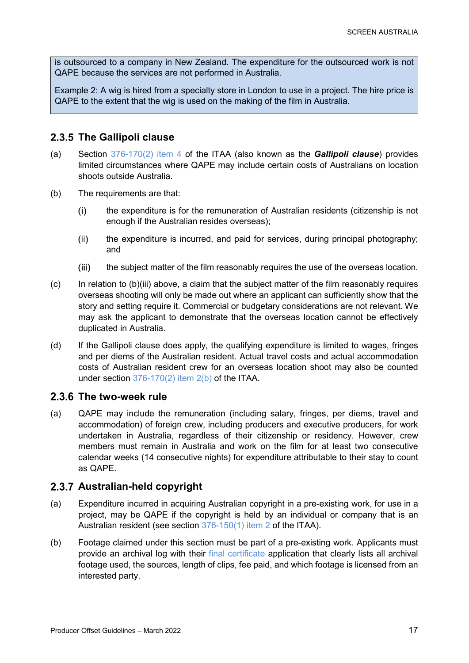is outsourced to a company in New Zealand. The expenditure for the outsourced work is not QAPE because the services are not performed in Australia.

Example 2: A wig is hired from a specialty store in London to use in a project. The hire price is QAPE to the extent that the wig is used on the making of the film in Australia.

### <span id="page-16-0"></span>**The Gallipoli clause**

- (a) Section [376-170\(2\)](https://www.legislation.gov.au/Details/C2022C00055/Html/Volume_7#_Toc94868489) item 4 of the ITAA (also known as the *Gallipoli clause*) provides limited circumstances where QAPE may include certain costs of Australians on location shoots outside Australia.
- (b) The requirements are that:
	- $(i)$ the expenditure is for the remuneration of Australian residents (citizenship is not enough if the Australian resides overseas);
	- $(ii)$ the expenditure is incurred, and paid for services, during principal photography; and
	- $(iii)$ the subject matter of the film reasonably requires the use of the overseas location.
- $(c)$  In relation to  $(b)$ (iii) above, a claim that the subject matter of the film reasonably requires overseas shooting will only be made out where an applicant can sufficiently show that the story and setting require it. Commercial or budgetary considerations are not relevant. We may ask the applicant to demonstrate that the overseas location cannot be effectively duplicated in Australia.
- (d) If the Gallipoli clause does apply, the qualifying expenditure is limited to wages, fringes and per diems of the Australian resident. Actual travel costs and actual accommodation costs of Australian resident crew for an overseas location shoot may also be counted under section [376-170\(2\)](https://www.legislation.gov.au/Details/C2022C00055/Html/Volume_7#_Toc94868489) item 2(b) of the ITAA.

### <span id="page-16-1"></span>2.3.6 The two-week rule

(a) QAPE may include the remuneration (including salary, fringes, per diems, travel and accommodation) of foreign crew, including producers and executive producers, for work undertaken in Australia, regardless of their citizenship or residency. However, crew members must remain in Australia and work on the film for at least two consecutive calendar weeks (14 consecutive nights) for expenditure attributable to their stay to count as QAPE.

### <span id="page-16-2"></span>**Australian-held copyright**

- (a) Expenditure incurred in acquiring Australian copyright in a pre-existing work, for use in a project, may be QAPE if the copyright is held by an individual or company that is an Australian resident (see section [376-150\(1\) item 2](https://www.legislation.gov.au/Details/C2022C00055/Html/Volume_7#_Toc94868489) of the ITAA).
- (b) Footage claimed under this section must be part of a pre-existing work. Applicants must provide an archival log with their [final certificate](#page-5-1) application that clearly lists all archival footage used, the sources, length of clips, fee paid, and which footage is licensed from an interested party.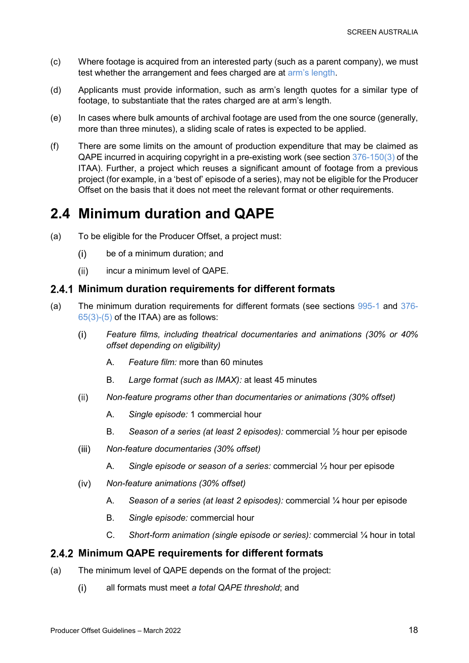- (c) Where footage is acquired from an interested party (such as a parent company), we must test whether the arrangement and fees charged are at [arm's length.](#page-26-2)
- (d) Applicants must provide information, such as arm's length quotes for a similar type of footage, to substantiate that the rates charged are at arm's length.
- (e) In cases where bulk amounts of archival footage are used from the one source (generally, more than three minutes), a sliding scale of rates is expected to be applied.
- (f) There are some limits on the amount of production expenditure that may be claimed as QAPE incurred in acquiring copyright in a pre-existing work (see section [376-150\(3\)](https://www.legislation.gov.au/Details/C2022C00055/Html/Volume_7#_Toc94868489) of the ITAA). Further, a project which reuses a significant amount of footage from a previous project (for example, in a 'best of' episode of a series), may not be eligible for the Producer Offset on the basis that it does not meet the relevant format or other requirements.

## <span id="page-17-0"></span>**2.4 Minimum duration and QAPE**

- (a) To be eligible for the Producer Offset, a project must:
	- $(i)$ be of a minimum duration; and
	- $(ii)$ incur a minimum level of QAPE.

### <span id="page-17-1"></span>**Minimum duration requirements for different formats**

- (a) The minimum duration requirements for different formats (see sections [995-1](https://www.legislation.gov.au/Details/C2022C00055/Html/Volume_10#_Toc91146643) and [376-](https://www.legislation.gov.au/Details/C2022C00055/Html/Volume_7#_Toc94868489)  $65(3)-(5)$  of the ITAA) are as follows:
	- $(i)$ *Feature films, including theatrical documentaries and animations (30% or 40% offset depending on eligibility)*
		- A. *Feature film:* more than 60 minutes
		- B. *Large format (such as IMAX):* at least 45 minutes
	- $(ii)$ *Non-feature programs other than documentaries or animations (30% offset)*
		- A. *Single episode:* 1 commercial hour
		- B. *Season of a series (at least 2 episodes):* commercial ½ hour per episode
	- *Non-feature documentaries (30% offset)*  $(iii)$ 
		- A. *Single episode or season of a series:* commercial ½ hour per episode
	- $(iv)$ *Non-feature animations (30% offset)*
		- A. *Season of a series (at least 2 episodes):* commercial ¼ hour per episode
		- B. *Single episode:* commercial hour
		- C. *Short-form animation (single episode or series):* commercial ¼ hour in total

### <span id="page-17-2"></span>**Minimum QAPE requirements for different formats**

- (a) The minimum level of QAPE depends on the format of the project:
	- $(i)$ all formats must meet *a total QAPE threshold*; and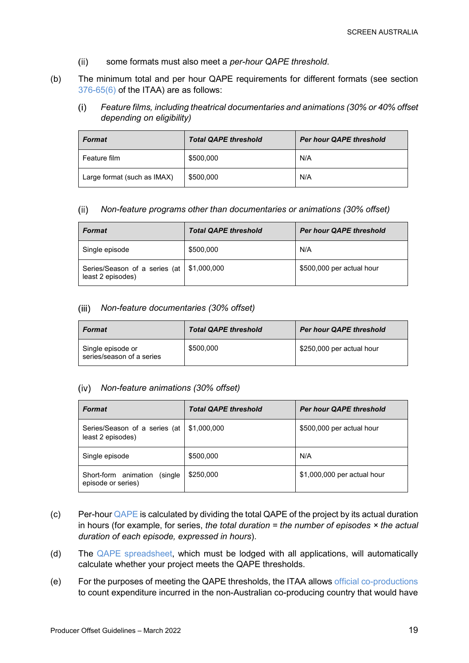- $(ii)$ some formats must also meet a *per-hour QAPE threshold*.
- (b) The minimum total and per hour QAPE requirements for different formats (see section [376-65\(6\)](https://www.legislation.gov.au/Details/C2022C00055/Html/Volume_7#_Toc94868489) of the ITAA) are as follows:
	- $(i)$ *Feature films, including theatrical documentaries and animations (30% or 40% offset depending on eligibility)*

| <b>Format</b>               | <b>Total QAPE threshold</b> | <b>Per hour QAPE threshold</b> |
|-----------------------------|-----------------------------|--------------------------------|
| Feature film                | \$500,000                   | N/A                            |
| Large format (such as IMAX) | \$500,000                   | N/A                            |

#### $(ii)$ *Non-feature programs other than documentaries or animations (30% offset)*

| <b>Format</b>                                      | <b>Total QAPE threshold</b> | <b>Per hour QAPE threshold</b> |
|----------------------------------------------------|-----------------------------|--------------------------------|
| Single episode                                     | \$500,000                   | N/A                            |
| Series/Season of a series (at<br>least 2 episodes) | \$1,000,000                 | \$500,000 per actual hour      |

### *Non-feature documentaries (30% offset)*

| <b>Format</b>                                  | <b>Total QAPE threshold</b> | Per hour QAPE threshold   |
|------------------------------------------------|-----------------------------|---------------------------|
| Single episode or<br>series/season of a series | \$500,000                   | \$250,000 per actual hour |

### *Non-feature animations (30% offset)*

| <b>Format</b>                                         | <b>Total QAPE threshold</b> | <b>Per hour QAPE threshold</b> |
|-------------------------------------------------------|-----------------------------|--------------------------------|
| Series/Season of a series (at<br>least 2 episodes)    | \$1,000,000                 | \$500,000 per actual hour      |
| Single episode                                        | \$500,000                   | N/A                            |
| Short-form animation<br>(single<br>episode or series) | \$250,000                   | \$1,000,000 per actual hour    |

- (c) Per-hour [QAPE](#page-15-1) is calculated by dividing the total QAPE of the project by its actual duration in hours (for example, for series, *the total duration = the number of episodes × the actual duration of each episode, expressed in hours*).
- (d) The [QAPE spreadsheet,](https://www.screenaustralia.gov.au/funding-and-support/producer-offset/document-library) which must be lodged with all applications, will automatically calculate whether your project meets the QAPE thresholds.
- (e) For the purposes of meeting the QAPE thresholds, the ITAA allows [official co-productions](#page-5-2) to count expenditure incurred in the non-Australian co-producing country that would have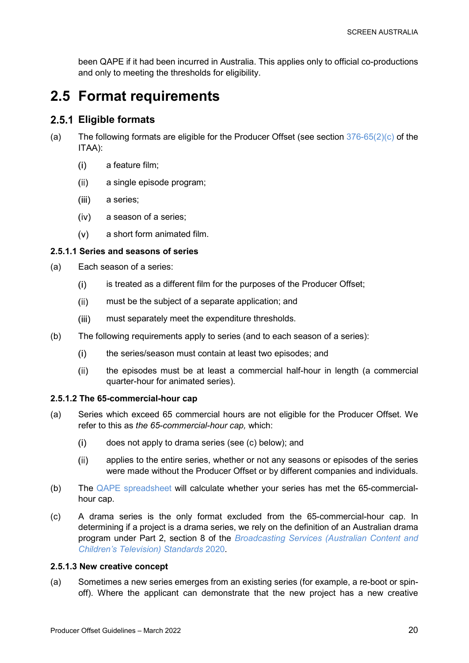been QAPE if it had been incurred in Australia. This applies only to official co-productions and only to meeting the thresholds for eligibility.

## <span id="page-19-0"></span>**2.5 Format requirements**

### <span id="page-19-1"></span>**Eligible formats**

- (a) The following formats are eligible for the Producer Offset (see section  $376-65(2)(c)$  of the ITAA):
	- $(i)$ a feature film;
	- $(ii)$ a single episode program;
	- $(iii)$ a series;
	- $(iv)$ a season of a series;
	- $(v)$ a short form animated film.

### <span id="page-19-2"></span>**2.5.1.1 Series and seasons of series**

- (a) Each season of a series:
	- is treated as a different film for the purposes of the Producer Offset;  $(i)$
	- $(ii)$ must be the subject of a separate application; and
	- must separately meet the expenditure thresholds.  $(iii)$
- (b) The following requirements apply to series (and to each season of a series):
	- $(i)$ the series/season must contain at least two episodes; and
	- $(ii)$ the episodes must be at least a commercial half-hour in length (a commercial quarter-hour for animated series).

### <span id="page-19-3"></span>**2.5.1.2 The 65-commercial-hour cap**

- (a) Series which exceed 65 commercial hours are not eligible for the Producer Offset. We refer to this as *the 65-commercial-hour cap,* which:
	- $(i)$ does not apply to drama series (see (c) below); and
	- applies to the entire series, whether or not any seasons or episodes of the series  $(ii)$ were made without the Producer Offset or by different companies and individuals.
- (b) The [QAPE spreadsheet](https://www.screenaustralia.gov.au/funding-and-support/producer-offset/document-library) will calculate whether your series has met the 65-commercialhour cap.
- (c) A drama series is the only format excluded from the 65-commercial-hour cap. In determining if a project is a drama series, we rely on the definition of an Australian drama program under Part 2, section 8 of the *[Broadcasting Services \(Australian Content and](https://www.legislation.gov.au/Details/F2020L01653)  [Children's Television\) Standards](https://www.legislation.gov.au/Details/F2020L01653)* 2020.

### <span id="page-19-4"></span>**2.5.1.3 New creative concept**

(a) Sometimes a new series emerges from an existing series (for example, a re-boot or spinoff). Where the applicant can demonstrate that the new project has a new creative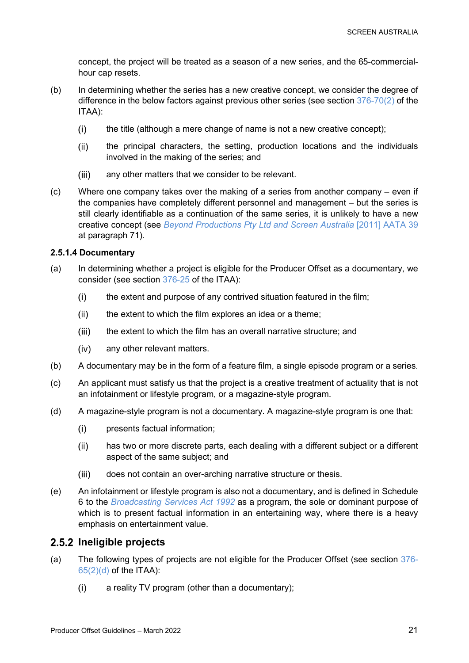concept, the project will be treated as a season of a new series, and the 65-commercialhour cap resets.

- (b) In determining whether the series has a new creative concept, we consider the degree of difference in the below factors against previous other series (see section [376-70\(2\)](https://www.legislation.gov.au/Details/C2022C00055/Html/Volume_7#_Toc94868489) of the ITAA):
	- $(i)$ the title (although a mere change of name is not a new creative concept);
	- $(ii)$ the principal characters, the setting, production locations and the individuals involved in the making of the series; and
	- $(iii)$ any other matters that we consider to be relevant.
- (c) Where one company takes over the making of a series from another company even if the companies have completely different personnel and management – but the series is still clearly identifiable as a continuation of the same series, it is unlikely to have a new creative concept (see *[Beyond Productions Pty Ltd and Screen Australia](http://www.austlii.edu.au/au/cases/cth/AATA/2011/39.html)* [2011] AATA 39 at paragraph 71).

### <span id="page-20-0"></span>**2.5.1.4 Documentary**

- (a) In determining whether a project is eligible for the Producer Offset as a documentary, we consider (see section [376-25](https://www.legislation.gov.au/Details/C2022C00055/Html/Volume_7#_Toc94868489) of the ITAA):
	- $(i)$ the extent and purpose of any contrived situation featured in the film;
	- $(ii)$ the extent to which the film explores an idea or a theme;
	- $(iii)$ the extent to which the film has an overall narrative structure; and
	- any other relevant matters.  $(iv)$
- (b) A documentary may be in the form of a feature film, a single episode program or a series.
- (c) An applicant must satisfy us that the project is a creative treatment of actuality that is not an infotainment or lifestyle program, or a magazine-style program.
- (d) A magazine-style program is not a documentary. A magazine-style program is one that:
	- $(i)$ presents factual information;
	- has two or more discrete parts, each dealing with a different subject or a different  $(ii)$ aspect of the same subject; and
	- does not contain an over-arching narrative structure or thesis.  $(iii)$
- (e) An infotainment or lifestyle program is also not a documentary, and is defined in Schedule 6 to the *[Broadcasting Services Act 1992](https://www.legislation.gov.au/Details/C2022C00058/Html/Volume_2#_Toc95143106)* as a program, the sole or dominant purpose of which is to present factual information in an entertaining way, where there is a heavy emphasis on entertainment value.

### <span id="page-20-1"></span>**Ineligible projects**

- (a) The following types of projects are not eligible for the Producer Offset (see section [376-](https://www.legislation.gov.au/Details/C2022C00055/Html/Volume_7#_Toc94868489)  $65(2)(d)$  of the ITAA):
	- $(i)$ a reality TV program (other than a documentary);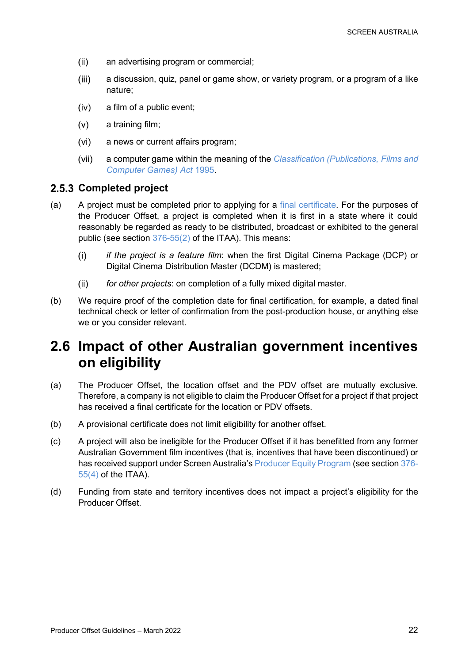- $(ii)$ an advertising program or commercial;
- $(iii)$ a discussion, quiz, panel or game show, or variety program, or a program of a like nature;
- $(iv)$ a film of a public event;
- $(v)$ a training film;
- $(vi)$ a news or current affairs program;
- $(vii)$ a computer game within the meaning of the *[Classification \(Publications,](https://www.legislation.gov.au/Details/C2017C00267) Films and [Computer Games\) Act](https://www.legislation.gov.au/Details/C2017C00267)* 1995.

### <span id="page-21-0"></span>**Completed project**

- (a) A project must be completed prior to applying for a [final certificate.](#page-5-1) For the purposes of the Producer Offset, a project is completed when it is first in a state where it could reasonably be regarded as ready to be distributed, broadcast or exhibited to the general public (see section [376-55\(2\)](https://www.legislation.gov.au/Details/C2022C00055/Html/Volume_7#_Toc94868489) of the ITAA). This means:
	- *if the project is a feature film*: when the first Digital Cinema Package (DCP) or  $(i)$ Digital Cinema Distribution Master (DCDM) is mastered;
	- *for other projects*: on completion of a fully mixed digital master.  $(ii)$
- (b) We require proof of the completion date for final certification, for example, a dated final technical check or letter of confirmation from the post-production house, or anything else we or you consider relevant.

## <span id="page-21-1"></span>**2.6 Impact of other Australian government incentives on eligibility**

- (a) The Producer Offset, the location offset and the PDV offset are mutually exclusive. Therefore, a company is not eligible to claim the Producer Offset for a project if that project has received a final certificate for the location or PDV offsets.
- (b) A provisional certificate does not limit eligibility for another offset.
- (c) A project will also be ineligible for the Producer Offset if it has benefitted from any former Australian Government film incentives (that is, incentives that have been discontinued) or has received support under Screen Australia's [Producer Equity Program](https://www.screenaustralia.gov.au/funding-and-support/documentary/production/producer-equity-program) (see section [376-](https://www.legislation.gov.au/Details/C2022C00055/Html/Volume_7#_Toc94868489)  $55(4)$  of the ITAA).
- (d) Funding from state and territory incentives does not impact a project's eligibility for the Producer Offset.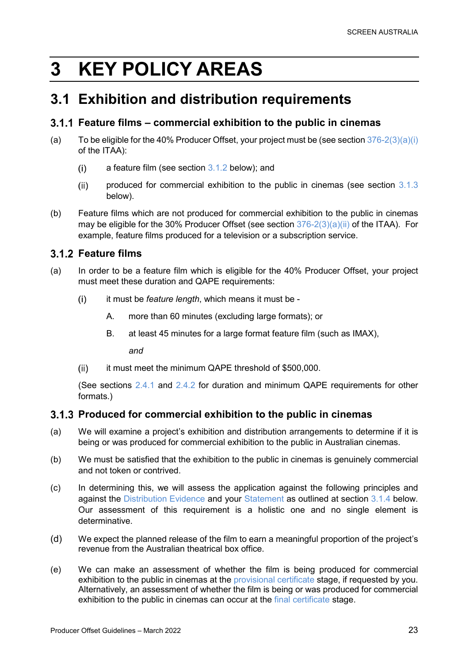# <span id="page-22-0"></span>**3 KEY POLICY AREAS**

## <span id="page-22-1"></span>**3.1 Exhibition and distribution requirements**

### <span id="page-22-2"></span>**Feature films – commercial exhibition to the public in cinemas**

- (a) To be eligible for the 40% Producer Offset, your project must be (see section  $376-2(3)(a)(i)$ of the ITAA):
	- $(i)$ a feature film (see section [3.1.2](#page-22-3) below); and
	- $(ii)$ produced for commercial exhibition to the public in cinemas (see section [3.1.3](#page-22-4) below).
- (b) Feature films which are not produced for commercial exhibition to the public in cinemas may be eligible for the 30% Producer Offset (see section [376-2\(3\)\(a\)\(ii\)](https://www.legislation.gov.au/Details/C2022C00055/Html/Volume_7#_Toc94868451) of the ITAA). For example, feature films produced for a television or a subscription service.

### <span id="page-22-3"></span>**Feature films**

- (a) In order to be a feature film which is eligible for the 40% Producer Offset, your project must meet these duration and QAPE requirements:
	- $(i)$ it must be *feature length*, which means it must be -
		- A. more than 60 minutes (excluding large formats); or
		- B. at least 45 minutes for a large format feature film (such as IMAX),

*and*

it must meet the minimum QAPE threshold of \$500,000.  $(ii)$ 

(See sections [2.4.1](#page-17-1) and [2.4.2](#page-17-2) for duration and minimum QAPE requirements for other formats.)

### <span id="page-22-4"></span>**Produced for commercial exhibition to the public in cinemas**

- (a) We will examine a project's exhibition and distribution arrangements to determine if it is being or was produced for commercial exhibition to the public in Australian cinemas.
- (b) We must be satisfied that the exhibition to the public in cinemas is genuinely commercial and not token or contrived.
- (c) In determining this, we will assess the application against the following principles and against the [Distribution Evidence](#page-23-1) and your [Statement](#page-23-2) as outlined at section [3.1.4](#page-23-0) below. Our assessment of this requirement is a holistic one and no single element is determinative.
- (d) We expect the planned release of the film to earn a meaningful proportion of the project's revenue from the Australian theatrical box office.
- (e) We can make an assessment of whether the film is being produced for commercial exhibition to the public in cinemas at the [provisional certificate](#page-4-1) stage, if requested by you. Alternatively, an assessment of whether the film is being or was produced for commercial exhibition to the public in cinemas can occur at the [final certificate](#page-5-1) stage.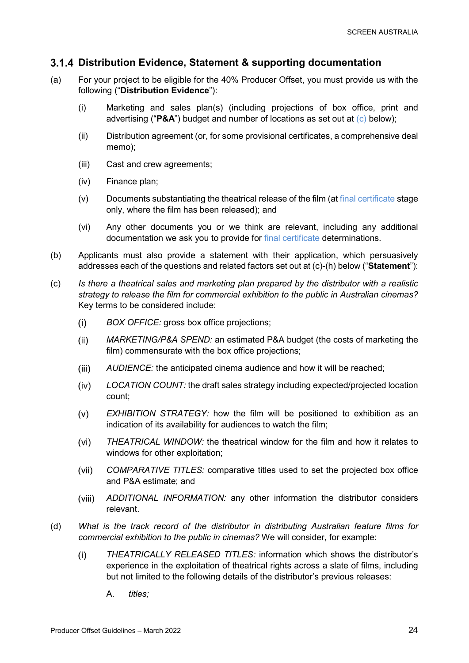### <span id="page-23-0"></span>**Distribution Evidence, Statement & supporting documentation**

- <span id="page-23-1"></span>(a) For your project to be eligible for the 40% Producer Offset, you must provide us with the following ("**Distribution Evidence**"):
	- (i) Marketing and sales plan(s) (including projections of box office, print and advertising ("**P&A**") budget and number of locations as set out at [\(c\)](#page-23-3) below);
	- (ii) Distribution agreement (or, for some provisional certificates, a comprehensive deal memo);
	- (iii) Cast and crew agreements;
	- (iv) Finance plan;
	- (v) Documents substantiating the theatrical release of the film (a[t final certificate](#page-5-1) stage only, where the film has been released); and
	- (vi) Any other documents you or we think are relevant, including any additional documentation we ask you to provide for [final certificate](#page-5-1) determinations.
- <span id="page-23-2"></span>(b) Applicants must also provide a statement with their application, which persuasively addresses each of the questions and related factors set out at (c)-(h) below ("**Statement**"):
- <span id="page-23-3"></span>(c) *Is there a theatrical sales and marketing plan prepared by the distributor with a realistic strategy to release the film for commercial exhibition to the public in Australian cinemas?*  Key terms to be considered include:
	- $(i)$ *BOX OFFICE:* gross box office projections;
	- $(ii)$ *MARKETING/P&A SPEND:* an estimated P&A budget (the costs of marketing the film) commensurate with the box office projections;
	- $(iii)$ *AUDIENCE:* the anticipated cinema audience and how it will be reached;
	- $(iv)$ *LOCATION COUNT:* the draft sales strategy including expected/projected location count;
	- $(v)$ *EXHIBITION STRATEGY:* how the film will be positioned to exhibition as an indication of its availability for audiences to watch the film;
	- *THEATRICAL WINDOW:* the theatrical window for the film and how it relates to  $(vi)$ windows for other exploitation;
	- $(vii)$ *COMPARATIVE TITLES:* comparative titles used to set the projected box office and P&A estimate; and
	- *ADDITIONAL INFORMATION:* any other information the distributor considers  $(viii)$ relevant.
- (d) *What is the track record of the distributor in distributing Australian feature films for commercial exhibition to the public in cinemas?* We will consider, for example:
	- $(i)$ *THEATRICALLY RELEASED TITLES:* information which shows the distributor's experience in the exploitation of theatrical rights across a slate of films, including but not limited to the following details of the distributor's previous releases:
		- A. *titles;*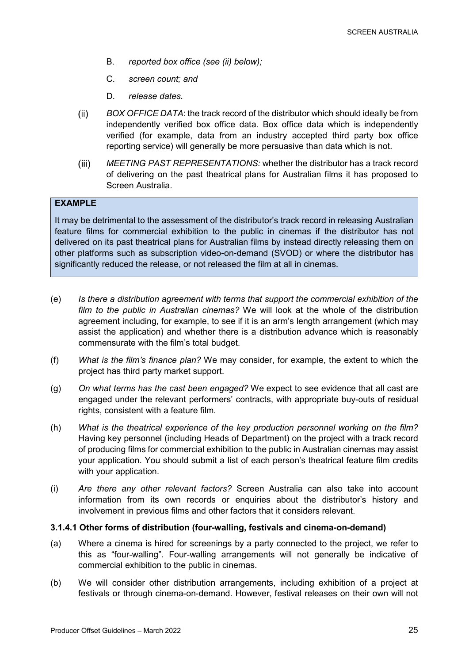- B. *reported box office (see (ii) below);*
- C. *screen count; and*
- D. *release dates.*
- <span id="page-24-1"></span>*BOX OFFICE DATA*: the track record of the distributor which should ideally be from  $(ii)$ independently verified box office data. Box office data which is independently verified (for example, data from an industry accepted third party box office reporting service) will generally be more persuasive than data which is not.
- $(iii)$ *MEETING PAST REPRESENTATIONS:* whether the distributor has a track record of delivering on the past theatrical plans for Australian films it has proposed to Screen Australia.

### **EXAMPLE**

It may be detrimental to the assessment of the distributor's track record in releasing Australian feature films for commercial exhibition to the public in cinemas if the distributor has not delivered on its past theatrical plans for Australian films by instead directly releasing them on other platforms such as subscription video-on-demand (SVOD) or where the distributor has significantly reduced the release, or not released the film at all in cinemas.

- (e) *Is there a distribution agreement with terms that support the commercial exhibition of the film to the public in Australian cinemas?* We will look at the whole of the distribution agreement including, for example, to see if it is an arm's length arrangement (which may assist the application) and whether there is a distribution advance which is reasonably commensurate with the film's total budget.
- (f) *What is the film's finance plan?* We may consider, for example, the extent to which the project has third party market support.
- (g) *On what terms has the cast been engaged?* We expect to see evidence that all cast are engaged under the relevant performers' contracts, with appropriate buy-outs of residual rights, consistent with a feature film.
- (h) *What is the theatrical experience of the key production personnel working on the film?*  Having key personnel (including Heads of Department) on the project with a track record of producing films for commercial exhibition to the public in Australian cinemas may assist your application. You should submit a list of each person's theatrical feature film credits with your application.
- (i) *Are there any other relevant factors?* Screen Australia can also take into account information from its own records or enquiries about the distributor's history and involvement in previous films and other factors that it considers relevant.

### <span id="page-24-0"></span>**3.1.4.1 Other forms of distribution (four-walling, festivals and cinema-on-demand)**

- (a) Where a cinema is hired for screenings by a party connected to the project, we refer to this as "four-walling". Four-walling arrangements will not generally be indicative of commercial exhibition to the public in cinemas.
- (b) We will consider other distribution arrangements, including exhibition of a project at festivals or through cinema-on-demand. However, festival releases on their own will not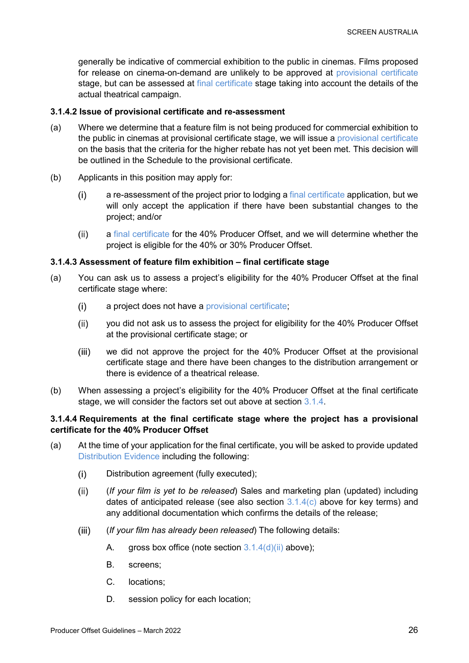generally be indicative of commercial exhibition to the public in cinemas. Films proposed for release on cinema-on-demand are unlikely to be approved at [provisional certificate](#page-4-1) stage, but can be assessed at [final certificate](#page-5-1) stage taking into account the details of the actual theatrical campaign.

### <span id="page-25-0"></span>**3.1.4.2 Issue of provisional certificate and re-assessment**

- (a) Where we determine that a feature film is not being produced for commercial exhibition to the public in cinemas at provisional certificate stage, we will issue a [provisional certificate](#page-4-1) on the basis that the criteria for the higher rebate has not yet been met. This decision will be outlined in the Schedule to the provisional certificate.
- (b) Applicants in this position may apply for:
	- $(i)$ a re-assessment of the project prior to lodging a [final certificate](#page-5-1) application, but we will only accept the application if there have been substantial changes to the project; and/or
	- a [final certificate](#page-5-1) for the 40% Producer Offset, and we will determine whether the  $(ii)$ project is eligible for the 40% or 30% Producer Offset.

### <span id="page-25-1"></span>**3.1.4.3 Assessment of feature film exhibition – final certificate stage**

- (a) You can ask us to assess a project's eligibility for the 40% Producer Offset at the final certificate stage where:
	- $(i)$ a project does not have a [provisional certificate;](#page-4-1)
	- $(ii)$ you did not ask us to assess the project for eligibility for the 40% Producer Offset at the provisional certificate stage; or
	- $(iii)$ we did not approve the project for the 40% Producer Offset at the provisional certificate stage and there have been changes to the distribution arrangement or there is evidence of a theatrical release.
- (b) When assessing a project's eligibility for the 40% Producer Offset at the final certificate stage, we will consider the factors set out above at section [3.1.4.](#page-23-0)

### <span id="page-25-2"></span>**3.1.4.4 Requirements at the final certificate stage where the project has a provisional certificate for the 40% Producer Offset**

- (a) At the time of your application for the final certificate, you will be asked to provide updated [Distribution Evidence](#page-23-1) including the following:
	- Distribution agreement (fully executed);  $(i)$
	- $(ii)$ (*If your film is yet to be released*) Sales and marketing plan (updated) including dates of anticipated release (see also section  $3.1.4(c)$  $3.1.4(c)$  above for key terms) and any additional documentation which confirms the details of the release;
	- $(iii)$ (*If your film has already been released*) The following details:
		- A. gross box office (note section  $3.1.4(d)(ii)$  $3.1.4(d)(ii)$  above);
		- B. screens;
		- C. locations;
		- D. session policy for each location;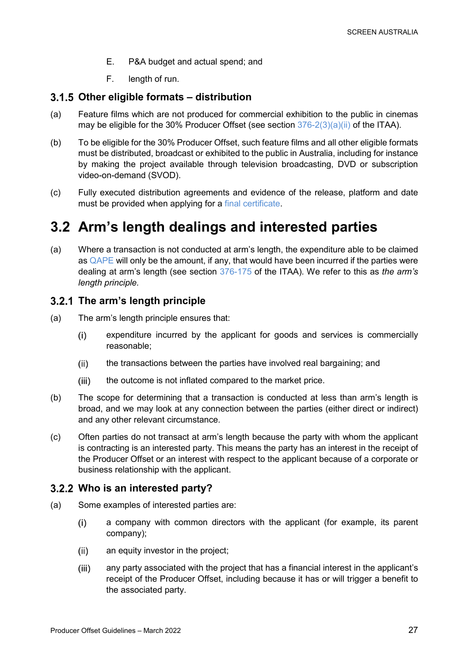- E. P&A budget and actual spend; and
- F. length of run.

### <span id="page-26-0"></span>**Other eligible formats – distribution**

- (a) Feature films which are not produced for commercial exhibition to the public in cinemas may be eligible for the 30% Producer Offset (see section  $376-2(3)(a)(ii)$  of the ITAA).
- <span id="page-26-4"></span>(b) To be eligible for the 30% Producer Offset, such feature films and all other eligible formats must be distributed, broadcast or exhibited to the public in Australia, including for instance by making the project available through television broadcasting, DVD or subscription video-on-demand (SVOD).
- (c) Fully executed distribution agreements and evidence of the release, platform and date must be provided when applying for a [final certificate.](#page-5-1)

## <span id="page-26-1"></span>**3.2 Arm's length dealings and interested parties**

(a) Where a transaction is not conducted at arm's length, the expenditure able to be claimed as [QAPE](#page-15-1) will only be the amount, if any, that would have been incurred if the parties were dealing at arm's length (see section [376-175](https://www.legislation.gov.au/Details/C2022C00055/Html/Volume_7#_Toc94868489) of the ITAA). We refer to this as *the arm's length principle.*

### <span id="page-26-2"></span>**The arm's length principle**

- (a) The arm's length principle ensures that:
	- expenditure incurred by the applicant for goods and services is commercially  $(i)$ reasonable;
	- $(ii)$ the transactions between the parties have involved real bargaining; and
	- $(iii)$ the outcome is not inflated compared to the market price.
- (b) The scope for determining that a transaction is conducted at less than arm's length is broad, and we may look at any connection between the parties (either direct or indirect) and any other relevant circumstance.
- (c) Often parties do not transact at arm's length because the party with whom the applicant is contracting is an interested party. This means the party has an interest in the receipt of the Producer Offset or an interest with respect to the applicant because of a corporate or business relationship with the applicant.

### <span id="page-26-3"></span>**Who is an interested party?**

- (a) Some examples of interested parties are:
	- a company with common directors with the applicant (for example, its parent  $(i)$ company);
	- $(ii)$ an equity investor in the project;
	- $(iii)$ any party associated with the project that has a financial interest in the applicant's receipt of the Producer Offset, including because it has or will trigger a benefit to the associated party.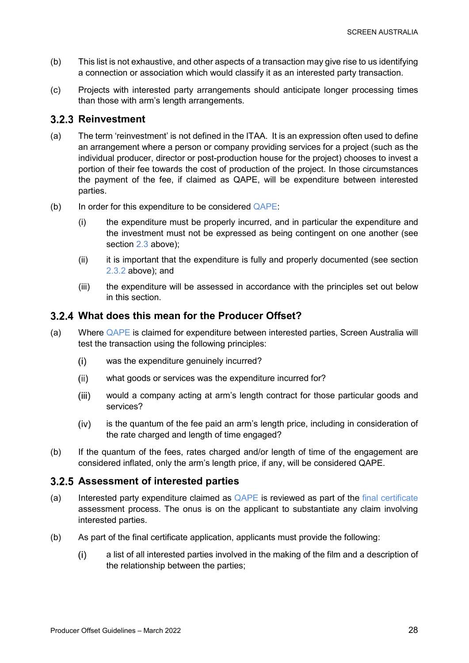- (b) This list is not exhaustive, and other aspects of a transaction may give rise to us identifying a connection or association which would classify it as an interested party transaction.
- (c) Projects with interested party arrangements should anticipate longer processing times than those with arm's length arrangements.

### <span id="page-27-0"></span>**3.2.3 Reinvestment**

- (a) The term 'reinvestment' is not defined in the ITAA. It is an expression often used to define an arrangement where a person or company providing services for a project (such as the individual producer, director or post-production house for the project) chooses to invest a portion of their fee towards the cost of production of the project. In those circumstances the payment of the fee, if claimed as QAPE, will be expenditure between interested parties.
- (b) In order for this expenditure to be considered  $Q_{\text{APE}}$ :
	- (i) the expenditure must be properly incurred, and in particular the expenditure and the investment must not be expressed as being contingent on one another (see section [2.3](#page-13-0) above);
	- (ii) it is important that the expenditure is fully and properly documented (see section [2.3.2](#page-13-2) above); and
	- (iii) the expenditure will be assessed in accordance with the principles set out below in this section.

### <span id="page-27-1"></span>**What does this mean for the Producer Offset?**

- (a) Where [QAPE](#page-15-1) is claimed for expenditure between interested parties, Screen Australia will test the transaction using the following principles:
	- $(i)$ was the expenditure genuinely incurred?
	- $(ii)$ what goods or services was the expenditure incurred for?
	- $(iii)$ would a company acting at arm's length contract for those particular goods and services?
	- $(iv)$ is the quantum of the fee paid an arm's length price, including in consideration of the rate charged and length of time engaged?
- (b) If the quantum of the fees, rates charged and/or length of time of the engagement are considered inflated, only the arm's length price, if any, will be considered QAPE.

### <span id="page-27-2"></span>**Assessment of interested parties**

- (a) Interested party expenditure claimed as  $Q_{\text{APE}}$  is reviewed as part of the [final certificate](#page-5-1) assessment process. The onus is on the applicant to substantiate any claim involving interested parties.
- (b) As part of the final certificate application, applicants must provide the following:
	- $(i)$ a list of all interested parties involved in the making of the film and a description of the relationship between the parties;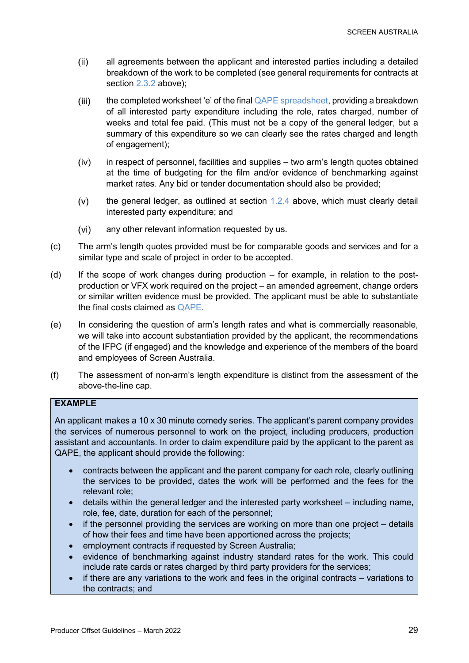- $(ii)$ all agreements between the applicant and interested parties including a detailed breakdown of the work to be completed (see general requirements for contracts at section [2.3.2](#page-13-2) above);
- $(iii)$ the completed worksheet 'e' of the final [QAPE spreadsheet,](https://www.screenaustralia.gov.au/funding-and-support/producer-offset/document-library) providing a breakdown of all interested party expenditure including the role, rates charged, number of weeks and total fee paid. (This must not be a copy of the general ledger, but a summary of this expenditure so we can clearly see the rates charged and length of engagement);
- $(iv)$ in respect of personnel, facilities and supplies – two arm's length quotes obtained at the time of budgeting for the film and/or evidence of benchmarking against market rates. Any bid or tender documentation should also be provided;
- $(v)$ the general ledger, as outlined at section [1.2.4](#page-7-1) above, which must clearly detail interested party expenditure; and
- any other relevant information requested by us.  $(vi)$
- (c) The arm's length quotes provided must be for comparable goods and services and for a similar type and scale of project in order to be accepted.
- $(d)$  If the scope of work changes during production for example, in relation to the postproduction or VFX work required on the project – an amended agreement, change orders or similar written evidence must be provided. The applicant must be able to substantiate the final costs claimed as [QAPE.](#page-15-1)
- (e) In considering the question of arm's length rates and what is commercially reasonable, we will take into account substantiation provided by the applicant, the recommendations of the IFPC (if engaged) and the knowledge and experience of the members of the board and employees of Screen Australia.
- (f) The assessment of non-arm's length expenditure is distinct from the assessment of the above-the-line cap.

### **EXAMPLE**

An applicant makes a 10 x 30 minute comedy series. The applicant's parent company provides the services of numerous personnel to work on the project, including producers, production assistant and accountants. In order to claim expenditure paid by the applicant to the parent as QAPE, the applicant should provide the following:

- contracts between the applicant and the parent company for each role, clearly outlining the services to be provided, dates the work will be performed and the fees for the relevant role;
- details within the general ledger and the interested party worksheet including name, role, fee, date, duration for each of the personnel;
- if the personnel providing the services are working on more than one project details of how their fees and time have been apportioned across the projects;
- employment contracts if requested by Screen Australia;
- evidence of benchmarking against industry standard rates for the work. This could include rate cards or rates charged by third party providers for the services;
- if there are any variations to the work and fees in the original contracts variations to the contracts; and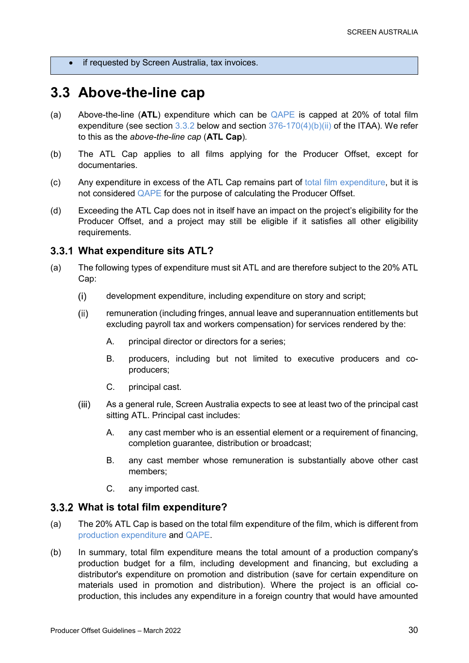• if requested by Screen Australia, tax invoices.

## <span id="page-29-0"></span>**3.3 Above-the-line cap**

- (a) Above-the-line (**ATL**) expenditure which can be [QAPE](#page-15-1) is capped at 20% of total film expenditure (see section  $3.3.2$  below and section  $376-170(4)(b)(ii)$  of the ITAA). We refer to this as the *above-the-line cap* (**ATL Cap**)*.*
- (b) The ATL Cap applies to all films applying for the Producer Offset, except for documentaries.
- (c) Any expenditure in excess of the ATL Cap remains part of [total film expenditure,](#page-29-3) but it is not considered [QAPE](#page-15-1) for the purpose of calculating the Producer Offset.
- (d) Exceeding the ATL Cap does not in itself have an impact on the project's eligibility for the Producer Offset, and a project may still be eligible if it satisfies all other eligibility requirements.

### <span id="page-29-1"></span>**What expenditure sits ATL?**

- (a) The following types of expenditure must sit ATL and are therefore subject to the 20% ATL Cap:
	- $(i)$ development expenditure, including expenditure on story and script;
	- $(ii)$ remuneration (including fringes, annual leave and superannuation entitlements but excluding payroll tax and workers compensation) for services rendered by the:
		- A. principal director or directors for a series:
		- B. producers, including but not limited to executive producers and coproducers;
		- C. principal cast.
	- $(iii)$ As a general rule, Screen Australia expects to see at least two of the principal cast sitting ATL. Principal cast includes:
		- A. any cast member who is an essential element or a requirement of financing, completion guarantee, distribution or broadcast;
		- B. any cast member whose remuneration is substantially above other cast members;
		- C. any imported cast.

### <span id="page-29-3"></span><span id="page-29-2"></span>**What is total film expenditure?**

- (a) The 20% ATL Cap is based on the total film expenditure of the film, which is different from [production expenditure](#page-13-3) and [QAPE.](#page-15-1)
- (b) In summary, total film expenditure means the total amount of a production company's production budget for a film, including development and financing, but excluding a distributor's expenditure on promotion and distribution (save for certain expenditure on materials used in promotion and distribution). Where the project is an official coproduction, this includes any expenditure in a foreign country that would have amounted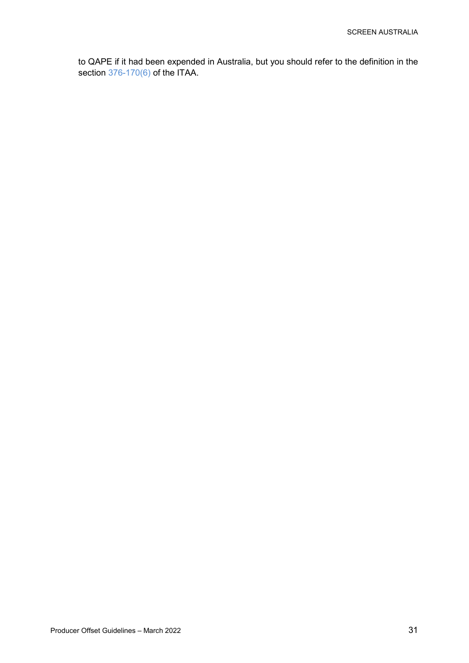to QAPE if it had been expended in Australia, but you should refer to the definition in the section [376-170\(6\)](https://www.legislation.gov.au/Details/C2022C00055/Html/Volume_7#_Toc94868489) of the ITAA.